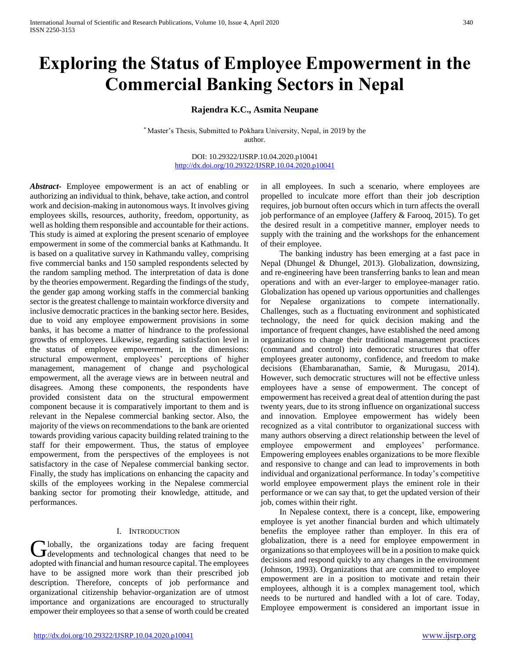# **Exploring the Status of Employee Empowerment in the Commercial Banking Sectors in Nepal**

# **Rajendra K.C., Asmita Neupane**

\* Master's Thesis, Submitted to Pokhara University, Nepal, in 2019 by the author.

> DOI: 10.29322/IJSRP.10.04.2020.p10041 <http://dx.doi.org/10.29322/IJSRP.10.04.2020.p10041>

*Abstract***-** Employee empowerment is an act of enabling or authorizing an individual to think, behave, take action, and control work and decision-making in autonomous ways. It involves giving employees skills, resources, authority, freedom, opportunity, as well as holding them responsible and accountable for their actions. This study is aimed at exploring the present scenario of employee empowerment in some of the commercial banks at Kathmandu. It is based on a qualitative survey in Kathmandu valley, comprising five commercial banks and 150 sampled respondents selected by the random sampling method. The interpretation of data is done by the theories empowerment. Regarding the findings of the study, the gender gap among working staffs in the commercial banking sector is the greatest challenge to maintain workforce diversity and inclusive democratic practices in the banking sector here. Besides, due to void any employee empowerment provisions in some banks, it has become a matter of hindrance to the professional growths of employees. Likewise, regarding satisfaction level in the status of employee empowerment, in the dimensions: structural empowerment, employees' perceptions of higher management, management of change and psychological empowerment, all the average views are in between neutral and disagrees. Among these components, the respondents have provided consistent data on the structural empowerment component because it is comparatively important to them and is relevant in the Nepalese commercial banking sector. Also, the majority of the views on recommendations to the bank are oriented towards providing various capacity building related training to the staff for their empowerment. Thus, the status of employee empowerment, from the perspectives of the employees is not satisfactory in the case of Nepalese commercial banking sector. Finally, the study has implications on enhancing the capacity and skills of the employees working in the Nepalese commercial banking sector for promoting their knowledge, attitude, and performances.

# I. INTRODUCTION

lobally, the organizations today are facing frequent Globally, the organizations today are facing frequent developments and technological changes that need to be adopted with financial and human resource capital. The employees have to be assigned more work than their prescribed job description. Therefore, concepts of job performance and organizational citizenship behavior-organization are of utmost importance and organizations are encouraged to structurally empower their employees so that a sense of worth could be created

in all employees. In such a scenario, where employees are propelled to inculcate more effort than their job description requires, job burnout often occurs which in turn affects the overall job performance of an employee (Jaffery & Farooq, 2015). To get the desired result in a competitive manner, employer needs to supply with the training and the workshops for the enhancement of their employee.

 The banking industry has been emerging at a fast pace in Nepal (Dhungel & Dhungel, 2013). Globalization, downsizing, and re-engineering have been transferring banks to lean and mean operations and with an ever-larger to employee-manager ratio. Globalization has opened up various opportunities and challenges for Nepalese organizations to compete internationally. Challenges, such as a fluctuating environment and sophisticated technology, the need for quick decision making and the importance of frequent changes, have established the need among organizations to change their traditional management practices (command and control) into democratic structures that offer employees greater autonomy, confidence, and freedom to make decisions (Ehambaranathan, Samie, & Murugasu, 2014). However, such democratic structures will not be effective unless employees have a sense of empowerment. The concept of empowerment has received a great deal of attention during the past twenty years, due to its strong influence on organizational success and innovation. Employee empowerment has widely been recognized as a vital contributor to organizational success with many authors observing a direct relationship between the level of employee empowerment and employees' performance. Empowering employees enables organizations to be more flexible and responsive to change and can lead to improvements in both individual and organizational performance. In today's competitive world employee empowerment plays the eminent role in their performance or we can say that, to get the updated version of their job, comes within their right.

 In Nepalese context, there is a concept, like, empowering employee is yet another financial burden and which ultimately benefits the employee rather than employer. In this era of globalization, there is a need for employee empowerment in organizations so that employees will be in a position to make quick decisions and respond quickly to any changes in the environment (Johnson, 1993). Organizations that are committed to employee empowerment are in a position to motivate and retain their employees, although it is a complex management tool, which needs to be nurtured and handled with a lot of care. Today, Employee empowerment is considered an important issue in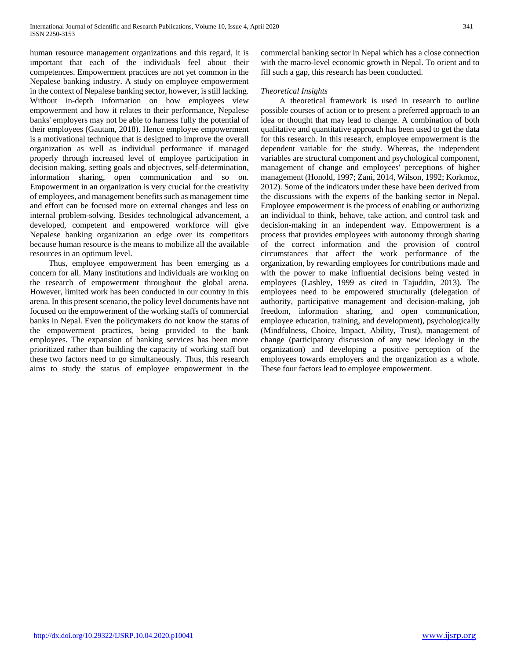human resource management organizations and this regard, it is important that each of the individuals feel about their competences. Empowerment practices are not yet common in the Nepalese banking industry. A study on employee empowerment in the context of Nepalese banking sector, however, is still lacking. Without in-depth information on how employees view empowerment and how it relates to their performance, Nepalese banks' employers may not be able to harness fully the potential of their employees (Gautam, 2018). Hence employee empowerment is a motivational technique that is designed to improve the overall organization as well as individual performance if managed properly through increased level of employee participation in decision making, setting goals and objectives, self-determination, information sharing, open communication and so on. Empowerment in an organization is very crucial for the creativity of employees, and management benefits such as management time and effort can be focused more on external changes and less on internal problem-solving. Besides technological advancement, a developed, competent and empowered workforce will give Nepalese banking organization an edge over its competitors because human resource is the means to mobilize all the available resources in an optimum level.

 Thus, employee empowerment has been emerging as a concern for all. Many institutions and individuals are working on the research of empowerment throughout the global arena. However, limited work has been conducted in our country in this arena. In this present scenario, the policy level documents have not focused on the empowerment of the working staffs of commercial banks in Nepal. Even the policymakers do not know the status of the empowerment practices, being provided to the bank employees. The expansion of banking services has been more prioritized rather than building the capacity of working staff but these two factors need to go simultaneously. Thus, this research aims to study the status of employee empowerment in the commercial banking sector in Nepal which has a close connection with the macro-level economic growth in Nepal. To orient and to fill such a gap, this research has been conducted.

# *Theoretical Insights*

 A theoretical framework is used in research to outline possible courses of action or to present a preferred approach to an idea or thought that may lead to change. A combination of both qualitative and quantitative approach has been used to get the data for this research. In this research, employee empowerment is the dependent variable for the study. Whereas, the independent variables are structural component and psychological component, management of change and employees' perceptions of higher management (Honold, 1997; Zani, 2014, Wilson, 1992; Korkmoz, 2012). Some of the indicators under these have been derived from the discussions with the experts of the banking sector in Nepal. Employee empowerment is the process of enabling or authorizing an individual to think, behave, take action, and control task and decision-making in an independent way. Empowerment is a process that provides employees with autonomy through sharing of the correct information and the provision of control circumstances that affect the work performance of the organization, by rewarding employees for contributions made and with the power to make influential decisions being vested in employees (Lashley, 1999 as cited in Tajuddin, 2013). The employees need to be empowered structurally (delegation of authority, participative management and decision-making, job freedom, information sharing, and open communication, employee education, training, and development), psychologically (Mindfulness, Choice, Impact, Ability, Trust), management of change (participatory discussion of any new ideology in the organization) and developing a positive perception of the employees towards employers and the organization as a whole. These four factors lead to employee empowerment.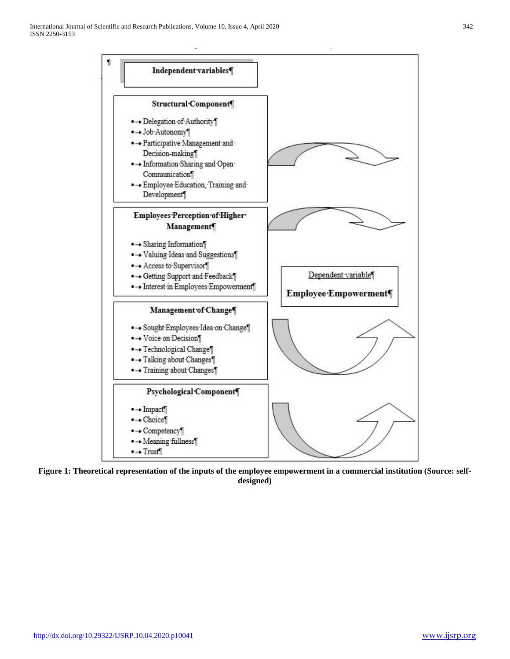

**Figure 1: Theoretical representation of the inputs of the employee empowerment in a commercial institution (Source: selfdesigned)**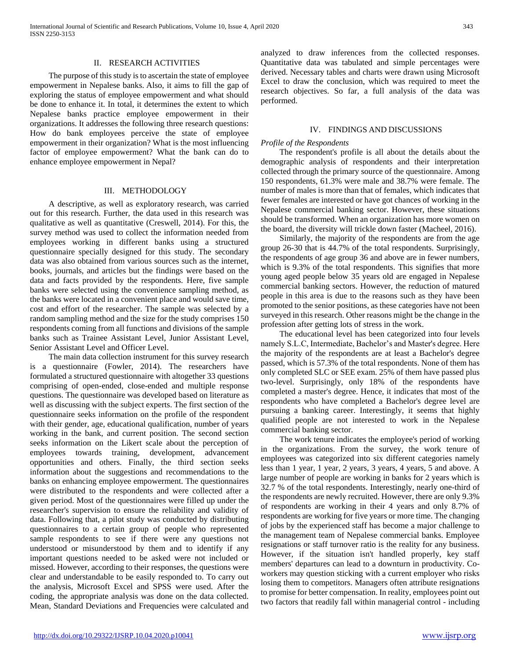# II. RESEARCH ACTIVITIES

 The purpose of this study is to ascertain the state of employee empowerment in Nepalese banks. Also, it aims to fill the gap of exploring the status of employee empowerment and what should be done to enhance it. In total, it determines the extent to which Nepalese banks practice employee empowerment in their organizations. It addresses the following three research questions: How do bank employees perceive the state of employee empowerment in their organization? What is the most influencing factor of employee empowerment? What the bank can do to enhance employee empowerment in Nepal?

# III. METHODOLOGY

 A descriptive, as well as exploratory research, was carried out for this research. Further, the data used in this research was qualitative as well as quantitative (Creswell, 2014). For this, the survey method was used to collect the information needed from employees working in different banks using a structured questionnaire specially designed for this study. The secondary data was also obtained from various sources such as the internet, books, journals, and articles but the findings were based on the data and facts provided by the respondents. Here, five sample banks were selected using the convenience sampling method, as the banks were located in a convenient place and would save time, cost and effort of the researcher. The sample was selected by a random sampling method and the size for the study comprises 150 respondents coming from all functions and divisions of the sample banks such as Trainee Assistant Level, Junior Assistant Level, Senior Assistant Level and Officer Level.

 The main data collection instrument for this survey research is a questionnaire (Fowler, 2014). The researchers have formulated a structured questionnaire with altogether 33 questions comprising of open-ended, close-ended and multiple response questions. The questionnaire was developed based on literature as well as discussing with the subject experts. The first section of the questionnaire seeks information on the profile of the respondent with their gender, age, educational qualification, number of years working in the bank, and current position. The second section seeks information on the Likert scale about the perception of employees towards training, development, advancement opportunities and others. Finally, the third section seeks information about the suggestions and recommendations to the banks on enhancing employee empowerment. The questionnaires were distributed to the respondents and were collected after a given period. Most of the questionnaires were filled up under the researcher's supervision to ensure the reliability and validity of data. Following that, a pilot study was conducted by distributing questionnaires to a certain group of people who represented sample respondents to see if there were any questions not understood or misunderstood by them and to identify if any important questions needed to be asked were not included or missed. However, according to their responses, the questions were clear and understandable to be easily responded to. To carry out the analysis, Microsoft Excel and SPSS were used. After the coding, the appropriate analysis was done on the data collected. Mean, Standard Deviations and Frequencies were calculated and analyzed to draw inferences from the collected responses. Quantitative data was tabulated and simple percentages were derived. Necessary tables and charts were drawn using Microsoft Excel to draw the conclusion, which was required to meet the research objectives. So far, a full analysis of the data was performed.

# IV. FINDINGS AND DISCUSSIONS

### *Profile of the Respondents*

 The respondent's profile is all about the details about the demographic analysis of respondents and their interpretation collected through the primary source of the questionnaire. Among 150 respondents, 61.3% were male and 38.7% were female. The number of males is more than that of females, which indicates that fewer females are interested or have got chances of working in the Nepalese commercial banking sector. However, these situations should be transformed. When an organization has more women on the board, the diversity will trickle down faster (Macheel, 2016).

 Similarly, the majority of the respondents are from the age group 26-30 that is 44.7% of the total respondents. Surprisingly, the respondents of age group 36 and above are in fewer numbers, which is 9.3% of the total respondents. This signifies that more young aged people below 35 years old are engaged in Nepalese commercial banking sectors. However, the reduction of matured people in this area is due to the reasons such as they have been promoted to the senior positions, as these categories have not been surveyed in this research. Other reasons might be the change in the profession after getting lots of stress in the work.

 The educational level has been categorized into four levels namely S.L.C, Intermediate, Bachelor's and Master's degree. Here the majority of the respondents are at least a Bachelor's degree passed, which is 57.3% of the total respondents. None of them has only completed SLC or SEE exam. 25% of them have passed plus two-level. Surprisingly, only 18% of the respondents have completed a master's degree. Hence, it indicates that most of the respondents who have completed a Bachelor's degree level are pursuing a banking career. Interestingly, it seems that highly qualified people are not interested to work in the Nepalese commercial banking sector.

 The work tenure indicates the employee's period of working in the organizations. From the survey, the work tenure of employees was categorized into six different categories namely less than 1 year, 1 year, 2 years, 3 years, 4 years, 5 and above. A large number of people are working in banks for 2 years which is 32.7 % of the total respondents. Interestingly, nearly one-third of the respondents are newly recruited. However, there are only 9.3% of respondents are working in their 4 years and only 8.7% of respondents are working for five years or more time. The changing of jobs by the experienced staff has become a major challenge to the management team of Nepalese commercial banks. Employee resignations or staff turnover ratio is the reality for any business. However, if the situation isn't handled properly, key staff members' departures can lead to a downturn in productivity. Coworkers may question sticking with a current employer who risks losing them to competitors. Managers often attribute resignations to promise for better compensation. In reality, employees point out two factors that readily fall within managerial control - including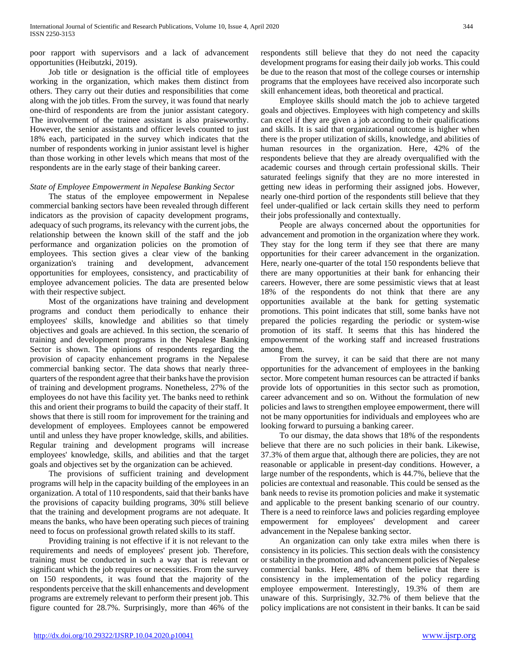poor rapport with supervisors and a lack of advancement opportunities (Heibutzki, 2019).

 Job title or designation is the official title of employees working in the organization, which makes them distinct from others. They carry out their duties and responsibilities that come along with the job titles. From the survey, it was found that nearly one-third of respondents are from the junior assistant category. The involvement of the trainee assistant is also praiseworthy. However, the senior assistants and officer levels counted to just 18% each, participated in the survey which indicates that the number of respondents working in junior assistant level is higher than those working in other levels which means that most of the respondents are in the early stage of their banking career.

# *State of Employee Empowerment in Nepalese Banking Sector*

 The status of the employee empowerment in Nepalese commercial banking sectors have been revealed through different indicators as the provision of capacity development programs, adequacy of such programs, its relevancy with the current jobs, the relationship between the known skill of the staff and the job performance and organization policies on the promotion of employees. This section gives a clear view of the banking organization's training and development, advancement opportunities for employees, consistency, and practicability of employee advancement policies. The data are presented below with their respective subject.

 Most of the organizations have training and development programs and conduct them periodically to enhance their employees' skills, knowledge and abilities so that timely objectives and goals are achieved. In this section, the scenario of training and development programs in the Nepalese Banking Sector is shown. The opinions of respondents regarding the provision of capacity enhancement programs in the Nepalese commercial banking sector. The data shows that nearly threequarters of the respondent agree that their banks have the provision of training and development programs. Nonetheless, 27% of the employees do not have this facility yet. The banks need to rethink this and orient their programs to build the capacity of their staff. It shows that there is still room for improvement for the training and development of employees. Employees cannot be empowered until and unless they have proper knowledge, skills, and abilities. Regular training and development programs will increase employees' knowledge, skills, and abilities and that the target goals and objectives set by the organization can be achieved.

 The provisions of sufficient training and development programs will help in the capacity building of the employees in an organization. A total of 110 respondents, said that their banks have the provisions of capacity building programs, 30% still believe that the training and development programs are not adequate. It means the banks, who have been operating such pieces of training need to focus on professional growth related skills to its staff.

 Providing training is not effective if it is not relevant to the requirements and needs of employees' present job. Therefore, training must be conducted in such a way that is relevant or significant which the job requires or necessities. From the survey on 150 respondents, it was found that the majority of the respondents perceive that the skill enhancements and development programs are extremely relevant to perform their present job. This figure counted for 28.7%. Surprisingly, more than 46% of the respondents still believe that they do not need the capacity development programs for easing their daily job works. This could be due to the reason that most of the college courses or internship programs that the employees have received also incorporate such skill enhancement ideas, both theoretical and practical.

 Employee skills should match the job to achieve targeted goals and objectives. Employees with high competency and skills can excel if they are given a job according to their qualifications and skills. It is said that organizational outcome is higher when there is the proper utilization of skills, knowledge, and abilities of human resources in the organization. Here, 42% of the respondents believe that they are already overqualified with the academic courses and through certain professional skills. Their saturated feelings signify that they are no more interested in getting new ideas in performing their assigned jobs. However, nearly one-third portion of the respondents still believe that they feel under-qualified or lack certain skills they need to perform their jobs professionally and contextually.

 People are always concerned about the opportunities for advancement and promotion in the organization where they work. They stay for the long term if they see that there are many opportunities for their career advancement in the organization. Here, nearly one-quarter of the total 150 respondents believe that there are many opportunities at their bank for enhancing their careers. However, there are some pessimistic views that at least 18% of the respondents do not think that there are any opportunities available at the bank for getting systematic promotions. This point indicates that still, some banks have not prepared the policies regarding the periodic or system-wise promotion of its staff. It seems that this has hindered the empowerment of the working staff and increased frustrations among them.

 From the survey, it can be said that there are not many opportunities for the advancement of employees in the banking sector. More competent human resources can be attracted if banks provide lots of opportunities in this sector such as promotion, career advancement and so on. Without the formulation of new policies and laws to strengthen employee empowerment, there will not be many opportunities for individuals and employees who are looking forward to pursuing a banking career.

 To our dismay, the data shows that 18% of the respondents believe that there are no such policies in their bank. Likewise, 37.3% of them argue that, although there are policies, they are not reasonable or applicable in present-day conditions. However, a large number of the respondents, which is 44.7%, believe that the policies are contextual and reasonable. This could be sensed as the bank needs to revise its promotion policies and make it systematic and applicable to the present banking scenario of our country. There is a need to reinforce laws and policies regarding employee empowerment for employees' development and career advancement in the Nepalese banking sector.

 An organization can only take extra miles when there is consistency in its policies. This section deals with the consistency or stability in the promotion and advancement policies of Nepalese commercial banks. Here, 48% of them believe that there is consistency in the implementation of the policy regarding employee empowerment. Interestingly, 19.3% of them are unaware of this. Surprisingly, 32.7% of them believe that the policy implications are not consistent in their banks. It can be said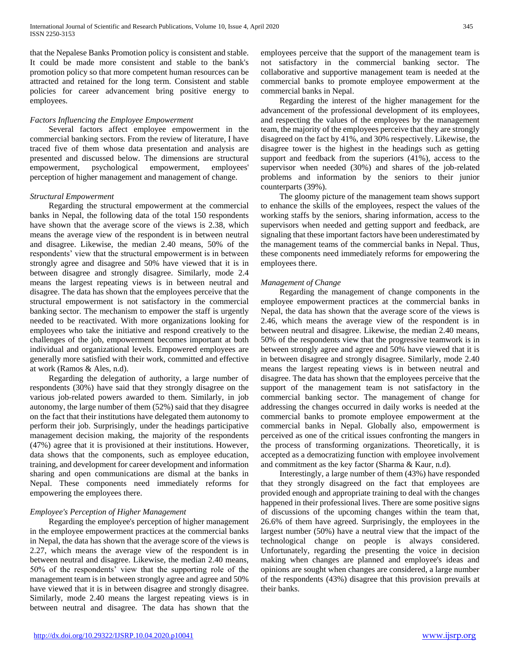that the Nepalese Banks Promotion policy is consistent and stable. It could be made more consistent and stable to the bank's promotion policy so that more competent human resources can be attracted and retained for the long term. Consistent and stable policies for career advancement bring positive energy to employees.

# *Factors Influencing the Employee Empowerment*

 Several factors affect employee empowerment in the commercial banking sectors. From the review of literature, I have traced five of them whose data presentation and analysis are presented and discussed below. The dimensions are structural empowerment, psychological empowerment, employees' perception of higher management and management of change.

# *Structural Empowerment*

 Regarding the structural empowerment at the commercial banks in Nepal, the following data of the total 150 respondents have shown that the average score of the views is 2.38, which means the average view of the respondent is in between neutral and disagree. Likewise, the median 2.40 means, 50% of the respondents' view that the structural empowerment is in between strongly agree and disagree and 50% have viewed that it is in between disagree and strongly disagree. Similarly, mode 2.4 means the largest repeating views is in between neutral and disagree. The data has shown that the employees perceive that the structural empowerment is not satisfactory in the commercial banking sector. The mechanism to empower the staff is urgently needed to be reactivated. With more organizations looking for employees who take the initiative and respond creatively to the challenges of the job, empowerment becomes important at both individual and organizational levels. Empowered employees are generally more satisfied with their work, committed and effective at work (Ramos & Ales, n.d).

 Regarding the delegation of authority, a large number of respondents (30%) have said that they strongly disagree on the various job-related powers awarded to them. Similarly, in job autonomy, the large number of them (52%) said that they disagree on the fact that their institutions have delegated them autonomy to perform their job. Surprisingly, under the headings participative management decision making, the majority of the respondents (47%) agree that it is provisioned at their institutions. However, data shows that the components, such as employee education, training, and development for career development and information sharing and open communications are dismal at the banks in Nepal. These components need immediately reforms for empowering the employees there.

# *Employee's Perception of Higher Management*

 Regarding the employee's perception of higher management in the employee empowerment practices at the commercial banks in Nepal, the data has shown that the average score of the views is 2.27, which means the average view of the respondent is in between neutral and disagree. Likewise, the median 2.40 means, 50% of the respondents' view that the supporting role of the management team is in between strongly agree and agree and 50% have viewed that it is in between disagree and strongly disagree. Similarly, mode 2.40 means the largest repeating views is in between neutral and disagree. The data has shown that the

employees perceive that the support of the management team is not satisfactory in the commercial banking sector. The collaborative and supportive management team is needed at the commercial banks to promote employee empowerment at the commercial banks in Nepal.

 Regarding the interest of the higher management for the advancement of the professional development of its employees, and respecting the values of the employees by the management team, the majority of the employees perceive that they are strongly disagreed on the fact by 41%, and 30% respectively. Likewise, the disagree tower is the highest in the headings such as getting support and feedback from the superiors (41%), access to the supervisor when needed (30%) and shares of the job-related problems and information by the seniors to their junior counterparts (39%).

 The gloomy picture of the management team shows support to enhance the skills of the employees, respect the values of the working staffs by the seniors, sharing information, access to the supervisors when needed and getting support and feedback, are signaling that these important factors have been underestimated by the management teams of the commercial banks in Nepal. Thus, these components need immediately reforms for empowering the employees there.

# *Management of Change*

 Regarding the management of change components in the employee empowerment practices at the commercial banks in Nepal, the data has shown that the average score of the views is 2.46, which means the average view of the respondent is in between neutral and disagree. Likewise, the median 2.40 means, 50% of the respondents view that the progressive teamwork is in between strongly agree and agree and 50% have viewed that it is in between disagree and strongly disagree. Similarly, mode 2.40 means the largest repeating views is in between neutral and disagree. The data has shown that the employees perceive that the support of the management team is not satisfactory in the commercial banking sector. The management of change for addressing the changes occurred in daily works is needed at the commercial banks to promote employee empowerment at the commercial banks in Nepal. Globally also, empowerment is perceived as one of the critical issues confronting the mangers in the process of transforming organizations. Theoretically, it is accepted as a democratizing function with employee involvement and commitment as the key factor (Sharma & Kaur, n.d).

 Interestingly, a large number of them (43%) have responded that they strongly disagreed on the fact that employees are provided enough and appropriate training to deal with the changes happened in their professional lives. There are some positive signs of discussions of the upcoming changes within the team that, 26.6% of them have agreed. Surprisingly, the employees in the largest number (50%) have a neutral view that the impact of the technological change on people is always considered. Unfortunately, regarding the presenting the voice in decision making when changes are planned and employee's ideas and opinions are sought when changes are considered, a large number of the respondents (43%) disagree that this provision prevails at their banks.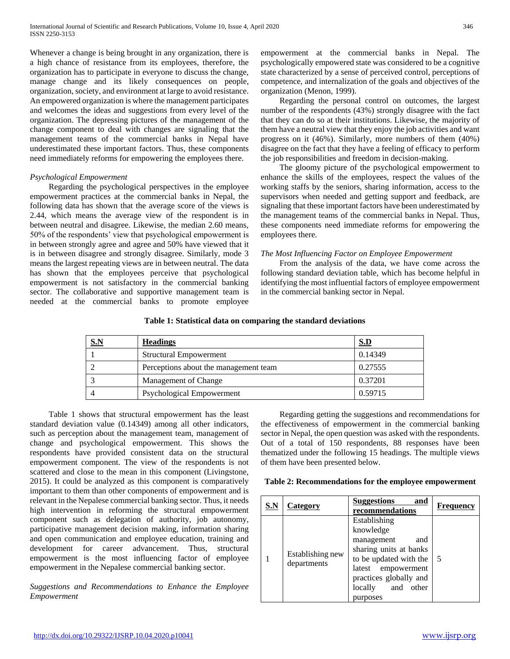Whenever a change is being brought in any organization, there is a high chance of resistance from its employees, therefore, the organization has to participate in everyone to discuss the change, manage change and its likely consequences on people, organization, society, and environment at large to avoid resistance. An empowered organization is where the management participates and welcomes the ideas and suggestions from every level of the organization. The depressing pictures of the management of the change component to deal with changes are signaling that the management teams of the commercial banks in Nepal have underestimated these important factors. Thus, these components need immediately reforms for empowering the employees there.

# *Psychological Empowerment*

 Regarding the psychological perspectives in the employee empowerment practices at the commercial banks in Nepal, the following data has shown that the average score of the views is 2.44, which means the average view of the respondent is in between neutral and disagree. Likewise, the median 2.60 means, 50% of the respondents' view that psychological empowerment is in between strongly agree and agree and 50% have viewed that it is in between disagree and strongly disagree. Similarly, mode 3 means the largest repeating views are in between neutral. The data has shown that the employees perceive that psychological empowerment is not satisfactory in the commercial banking sector. The collaborative and supportive management team is needed at the commercial banks to promote employee

empowerment at the commercial banks in Nepal. The psychologically empowered state was considered to be a cognitive state characterized by a sense of perceived control, perceptions of competence, and internalization of the goals and objectives of the organization (Menon, 1999).

 Regarding the personal control on outcomes, the largest number of the respondents (43%) strongly disagree with the fact that they can do so at their institutions. Likewise, the majority of them have a neutral view that they enjoy the job activities and want progress on it (46%). Similarly, more numbers of them (40%) disagree on the fact that they have a feeling of efficacy to perform the job responsibilities and freedom in decision-making.

 The gloomy picture of the psychological empowerment to enhance the skills of the employees, respect the values of the working staffs by the seniors, sharing information, access to the supervisors when needed and getting support and feedback, are signaling that these important factors have been underestimated by the management teams of the commercial banks in Nepal. Thus, these components need immediate reforms for empowering the employees there.

# *The Most Influencing Factor on Employee Empowerment*

 From the analysis of the data, we have come across the following standard deviation table, which has become helpful in identifying the most influential factors of employee empowerment in the commercial banking sector in Nepal.

| --<br>------ | ້ |
|--------------|---|

**Table 1: Statistical data on comparing the standard deviations**

| <u>S.N</u> | <b>Headings</b>                       | S.D     |
|------------|---------------------------------------|---------|
|            | <b>Structural Empowerment</b>         | 0.14349 |
|            | Perceptions about the management team | 0.27555 |
|            | Management of Change                  | 0.37201 |
|            | Psychological Empowerment             | 0.59715 |

 Table 1 shows that structural empowerment has the least standard deviation value (0.14349) among all other indicators, such as perception about the management team, management of change and psychological empowerment. This shows the respondents have provided consistent data on the structural empowerment component. The view of the respondents is not scattered and close to the mean in this component (Livingstone, 2015). It could be analyzed as this component is comparatively important to them than other components of empowerment and is relevant in the Nepalese commercial banking sector. Thus, it needs high intervention in reforming the structural empowerment component such as delegation of authority, job autonomy, participative management decision making, information sharing and open communication and employee education, training and development for career advancement. Thus, structural empowerment is the most influencing factor of employee empowerment in the Nepalese commercial banking sector.

*Suggestions and Recommendations to Enhance the Employee Empowerment*

 Regarding getting the suggestions and recommendations for the effectiveness of empowerment in the commercial banking sector in Nepal, the open question was asked with the respondents. Out of a total of 150 respondents, 88 responses have been thematized under the following 15 headings. The multiple views of them have been presented below.

| S.N | <b>Category</b>                 | <b>Suggestions</b><br>and<br>recommendations                                                                                                                                           | <b>Frequency</b> |
|-----|---------------------------------|----------------------------------------------------------------------------------------------------------------------------------------------------------------------------------------|------------------|
|     | Establishing new<br>departments | Establishing<br>knowledge<br>management<br>and<br>sharing units at banks<br>to be updated with the<br>latest empowerment<br>practices globally and<br>and other<br>locally<br>purposes | -5               |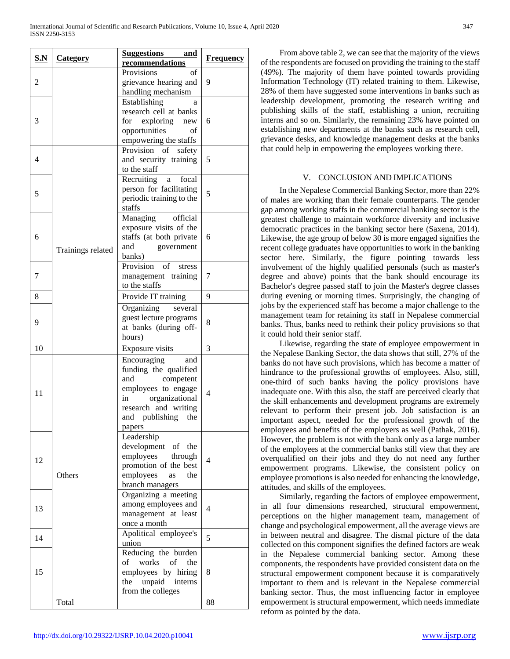| S.N            | <b>Category</b>   | Suggestions and<br>recommendations                                                                                                                                     | <b>Frequency</b> |
|----------------|-------------------|------------------------------------------------------------------------------------------------------------------------------------------------------------------------|------------------|
| 2              |                   | Provisions<br>of<br>grievance hearing and                                                                                                                              | 9                |
| 3              |                   | handling mechanism<br>Establishing<br>a<br>research cell at banks<br>for exploring<br>new<br>opportunities<br>of<br>empowering the staffs                              | 6                |
| $\overline{4}$ |                   | Provision of<br>safety<br>and security training<br>to the staff                                                                                                        | 5                |
| 5              |                   | focal<br>Recruiting<br>a<br>person for facilitating<br>periodic training to the<br>staffs                                                                              | 5                |
| 6              | Trainings related | Managing<br>official<br>exposure visits of the<br>staffs (at both private<br>and<br>government<br>banks)                                                               | 6                |
| 7              |                   | Provision<br>of<br>stress<br>management training<br>to the staffs                                                                                                      | 7                |
| 8              |                   | Provide IT training                                                                                                                                                    | 9                |
| 9              |                   | Organizing<br>several<br>guest lecture programs<br>at banks (during off-<br>hours)                                                                                     | 8                |
| 10             |                   | Exposure visits                                                                                                                                                        | 3                |
| 11             |                   | Encouraging<br>and<br>funding the qualified<br>and<br>competent<br>employees to engage<br>organizational<br>in<br>research and writing<br>and publishing the<br>papers | 4                |
| 12             | Others            | Leadership<br>development of the<br>employees through<br>promotion of the best<br>employees<br>the<br>as<br>branch managers                                            | 4                |
| 13             |                   | Organizing a meeting<br>among employees and<br>management at least<br>once a month                                                                                     | 4                |
| 14             |                   | Apolitical employee's<br>union                                                                                                                                         | 5                |
| 15             |                   | Reducing the burden<br>works<br>of<br>of<br>the<br>employees by hiring<br>unpaid<br>the<br>interns<br>from the colleges                                                | 8                |
|                | Total             |                                                                                                                                                                        | 88               |

 From above table 2, we can see that the majority of the views of the respondents are focused on providing the training to the staff (49%). The majority of them have pointed towards providing Information Technology (IT) related training to them. Likewise, 28% of them have suggested some interventions in banks such as leadership development, promoting the research writing and publishing skills of the staff, establishing a union, recruiting interns and so on. Similarly, the remaining 23% have pointed on establishing new departments at the banks such as research cell, grievance desks, and knowledge management desks at the banks that could help in empowering the employees working there.

## V. CONCLUSION AND IMPLICATIONS

 In the Nepalese Commercial Banking Sector, more than 22% of males are working than their female counterparts. The gender gap among working staffs in the commercial banking sector is the greatest challenge to maintain workforce diversity and inclusive democratic practices in the banking sector here (Saxena, 2014). Likewise, the age group of below 30 is more engaged signifies the recent college graduates have opportunities to work in the banking sector here. Similarly, the figure pointing towards less involvement of the highly qualified personals (such as master's degree and above) points that the bank should encourage its Bachelor's degree passed staff to join the Master's degree classes during evening or morning times. Surprisingly, the changing of jobs by the experienced staff has become a major challenge to the management team for retaining its staff in Nepalese commercial banks. Thus, banks need to rethink their policy provisions so that it could hold their senior staff.

 Likewise, regarding the state of employee empowerment in the Nepalese Banking Sector, the data shows that still, 27% of the banks do not have such provisions, which has become a matter of hindrance to the professional growths of employees. Also, still, one-third of such banks having the policy provisions have inadequate one. With this also, the staff are perceived clearly that the skill enhancements and development programs are extremely relevant to perform their present job. Job satisfaction is an important aspect, needed for the professional growth of the employees and benefits of the employers as well (Pathak, 2016). However, the problem is not with the bank only as a large number of the employees at the commercial banks still view that they are overqualified on their jobs and they do not need any further empowerment programs. Likewise, the consistent policy on employee promotions is also needed for enhancing the knowledge, attitudes, and skills of the employees.

 Similarly, regarding the factors of employee empowerment, in all four dimensions researched, structural empowerment, perceptions on the higher management team, management of change and psychological empowerment, all the average views are in between neutral and disagree. The dismal picture of the data collected on this component signifies the defined factors are weak in the Nepalese commercial banking sector. Among these components, the respondents have provided consistent data on the structural empowerment component because it is comparatively important to them and is relevant in the Nepalese commercial banking sector. Thus, the most influencing factor in employee empowerment is structural empowerment, which needs immediate reform as pointed by the data.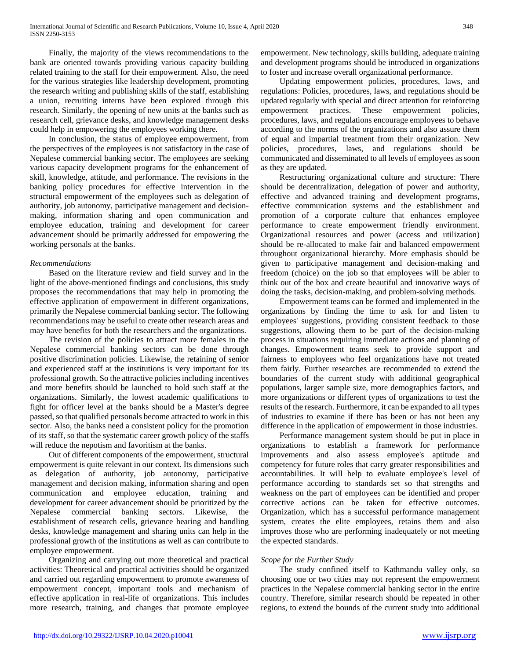Finally, the majority of the views recommendations to the bank are oriented towards providing various capacity building related training to the staff for their empowerment. Also, the need for the various strategies like leadership development, promoting the research writing and publishing skills of the staff, establishing a union, recruiting interns have been explored through this research. Similarly, the opening of new units at the banks such as research cell, grievance desks, and knowledge management desks could help in empowering the employees working there.

 In conclusion, the status of employee empowerment, from the perspectives of the employees is not satisfactory in the case of Nepalese commercial banking sector. The employees are seeking various capacity development programs for the enhancement of skill, knowledge, attitude, and performance. The revisions in the banking policy procedures for effective intervention in the structural empowerment of the employees such as delegation of authority, job autonomy, participative management and decisionmaking, information sharing and open communication and employee education, training and development for career advancement should be primarily addressed for empowering the working personals at the banks.

# *Recommendations*

 Based on the literature review and field survey and in the light of the above-mentioned findings and conclusions, this study proposes the recommendations that may help in promoting the effective application of empowerment in different organizations, primarily the Nepalese commercial banking sector. The following recommendations may be useful to create other research areas and may have benefits for both the researchers and the organizations.

 The revision of the policies to attract more females in the Nepalese commercial banking sectors can be done through positive discrimination policies. Likewise, the retaining of senior and experienced staff at the institutions is very important for its professional growth. So the attractive policies including incentives and more benefits should be launched to hold such staff at the organizations. Similarly, the lowest academic qualifications to fight for officer level at the banks should be a Master's degree passed, so that qualified personals become attracted to work in this sector. Also, the banks need a consistent policy for the promotion of its staff, so that the systematic career growth policy of the staffs will reduce the nepotism and favoritism at the banks.

 Out of different components of the empowerment, structural empowerment is quite relevant in our context. Its dimensions such as delegation of authority, job autonomy, participative management and decision making, information sharing and open communication and employee education, training and development for career advancement should be prioritized by the Nepalese commercial banking sectors. Likewise, the establishment of research cells, grievance hearing and handling desks, knowledge management and sharing units can help in the professional growth of the institutions as well as can contribute to employee empowerment.

 Organizing and carrying out more theoretical and practical activities: Theoretical and practical activities should be organized and carried out regarding empowerment to promote awareness of empowerment concept, important tools and mechanism of effective application in real-life of organizations. This includes more research, training, and changes that promote employee empowerment. New technology, skills building, adequate training and development programs should be introduced in organizations to foster and increase overall organizational performance.

 Updating empowerment policies, procedures, laws, and regulations: Policies, procedures, laws, and regulations should be updated regularly with special and direct attention for reinforcing empowerment practices. These empowerment policies, procedures, laws, and regulations encourage employees to behave according to the norms of the organizations and also assure them of equal and impartial treatment from their organization. New policies, procedures, laws, and regulations should be communicated and disseminated to all levels of employees as soon as they are updated.

 Restructuring organizational culture and structure: There should be decentralization, delegation of power and authority, effective and advanced training and development programs, effective communication systems and the establishment and promotion of a corporate culture that enhances employee performance to create empowerment friendly environment. Organizational resources and power (access and utilization) should be re-allocated to make fair and balanced empowerment throughout organizational hierarchy. More emphasis should be given to participative management and decision-making and freedom (choice) on the job so that employees will be abler to think out of the box and create beautiful and innovative ways of doing the tasks, decision-making, and problem-solving methods.

 Empowerment teams can be formed and implemented in the organizations by finding the time to ask for and listen to employees' suggestions, providing consistent feedback to those suggestions, allowing them to be part of the decision-making process in situations requiring immediate actions and planning of changes. Empowerment teams seek to provide support and fairness to employees who feel organizations have not treated them fairly. Further researches are recommended to extend the boundaries of the current study with additional geographical populations, larger sample size, more demographics factors, and more organizations or different types of organizations to test the results of the research. Furthermore, it can be expanded to all types of industries to examine if there has been or has not been any difference in the application of empowerment in those industries.

 Performance management system should be put in place in organizations to establish a framework for performance improvements and also assess employee's aptitude and competency for future roles that carry greater responsibilities and accountabilities. It will help to evaluate employee's level of performance according to standards set so that strengths and weakness on the part of employees can be identified and proper corrective actions can be taken for effective outcomes. Organization, which has a successful performance management system, creates the elite employees, retains them and also improves those who are performing inadequately or not meeting the expected standards.

# *Scope for the Further Study*

 The study confined itself to Kathmandu valley only, so choosing one or two cities may not represent the empowerment practices in the Nepalese commercial banking sector in the entire country. Therefore, similar research should be repeated in other regions, to extend the bounds of the current study into additional